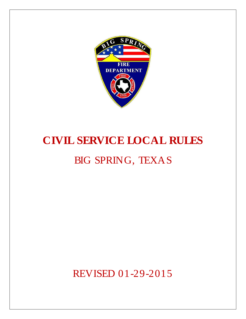

# **CIVIL SERVICE LOCAL RULES**

# BIG SPRING, TEXAS

REVISED 01-29-2015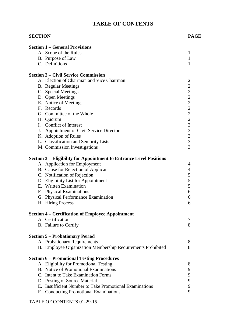# **TABLE OF CONTENTS**

| <b>SECTION</b>                                                      | <b>PAGE</b>              |
|---------------------------------------------------------------------|--------------------------|
| <b>Section 1 – General Provisions</b>                               |                          |
| A. Scope of the Rules                                               | 1                        |
| B. Purpose of Law                                                   | $\mathbf{1}$             |
| C. Definitions                                                      | 1                        |
| <b>Section 2 – Civil Service Commission</b>                         |                          |
| A. Election of Chairman and Vice Chairman                           | 2                        |
| <b>B.</b> Regular Meetings                                          | $\overline{c}$           |
| C. Special Meetings                                                 |                          |
| D. Open Meetings                                                    | 222222333                |
| E. Notice of Meetings                                               |                          |
| F. Records                                                          |                          |
| G. Committee of the Whole                                           |                          |
| H. Quorum                                                           |                          |
| I. Conflict of Interest                                             |                          |
| J. Appointment of Civil Service Director                            |                          |
| K. Adoption of Rules                                                |                          |
| L. Classification and Seniority Lists                               |                          |
| M. Commission Investigations                                        | $\overline{3}$           |
| Section 3 – Eligibility for Appointment to Entrance Level Positions |                          |
| A. Application for Employment                                       | 4                        |
| B. Cause for Rejection of Applicant                                 | $\overline{\mathcal{A}}$ |
| C. Notification of Rejection                                        | 5                        |
| D. Eligibility List for Appointment                                 | 5                        |
| E. Written Examination                                              | 5                        |
| F. Physical Examinations                                            | 6                        |
| G. Physical Performance Examination                                 | 6                        |
|                                                                     | 6                        |
| H. Hiring Process                                                   |                          |
| <b>Section 4 – Certification of Employee Appointment</b>            |                          |
| A. Certification                                                    | 7                        |
| B. Failure to Certify                                               | 8                        |
| <b>Section 5 – Probationary Period</b>                              |                          |
| A. Probationary Requirements                                        | 8                        |
| B. Employee Organization Membership Requirements Prohibited         | 8                        |
| <b>Section 6 – Promotional Testing Procedures</b>                   |                          |
| A. Eligibility for Promotional Testing                              | 8                        |
| B. Notice of Promotional Examinations                               | 9                        |
| C. Intent to Take Examination Forms                                 | 9                        |
| D. Posting of Source Material                                       | 9                        |
| E. Insufficient Number to Take Promotional Examinations             | 9                        |
| F. Conducting Promotional Examinations                              | 9                        |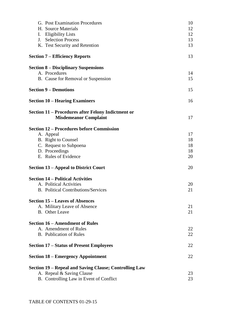|                | G. Post Examination Procedures                         | 10 |
|----------------|--------------------------------------------------------|----|
|                | H. Source Materials                                    | 12 |
| I.             | <b>Eligibility Lists</b>                               | 12 |
| $\mathbf{J}$ . | <b>Selection Process</b>                               | 13 |
|                | K. Test Security and Retention                         | 13 |
|                | <b>Section 7 – Efficiency Reports</b>                  | 13 |
|                | <b>Section 8 – Disciplinary Suspensions</b>            |    |
|                | A. Procedures                                          | 14 |
|                | B. Cause for Removal or Suspension                     | 15 |
|                | <b>Section 9 – Demotions</b>                           | 15 |
|                | <b>Section 10 – Hearing Examiners</b>                  | 16 |
|                | Section 11 – Procedures after Felony Indictment or     |    |
|                | <b>Misdemeanor Complaint</b>                           | 17 |
|                | <b>Section 12 – Procedures before Commission</b>       |    |
|                | A. Appeal                                              | 17 |
|                | B. Right to Counsel                                    | 18 |
|                | C. Request to Subpoena                                 | 18 |
|                | D. Proceedings                                         | 18 |
|                | E. Rules of Evidence                                   | 20 |
|                | <b>Section 13 – Appeal to District Court</b>           | 20 |
|                | <b>Section 14 – Political Activities</b>               |    |
|                | A. Political Activities                                | 20 |
|                | <b>B.</b> Political Contributions/Services             | 21 |
|                | <b>Section 15 – Leaves of Absences</b>                 |    |
|                | A. Military Leave of Absence                           | 21 |
|                | <b>B.</b> Other Leave                                  | 21 |
|                | <b>Section 16 – Amendment of Rules</b>                 |    |
|                | A. Amendment of Rules                                  | 22 |
|                | <b>B.</b> Publication of Rules                         | 22 |
|                | <b>Section 17 – Status of Present Employees</b>        | 22 |
|                | <b>Section 18 – Emergency Appointment</b>              | 22 |
|                | Section 19 - Repeal and Saving Clause; Controlling Law |    |
|                | A. Repeal & Saving Clause                              | 23 |
|                | B. Controlling Law in Event of Conflict                | 23 |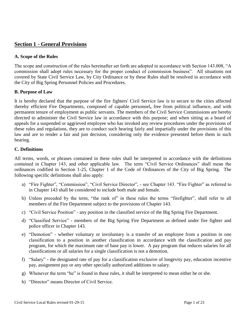# **Section 1 - General Provisions**

#### **A. Scope of the Rules**

The scope and construction of the rules hereinafter set forth are adopted in accordance with Section 143.008, "A commission shall adopt rules necessary for the proper conduct of commission business". All situations not covered by State Civil Service Law, by City Ordinance or by these Rules shall be resolved in accordance with the City of Big Spring Personnel Policies and Procedures.

#### **B. Purpose of Law**

It is hereby declared that the purpose of the fire fighters' Civil Service law is to secure to the cities affected thereby efficient Fire Departments, composed of capable personnel**,** free from political influence, and with permanent tenure of employment as public servants. The members of the Civil Service Commissions are hereby directed to administer the Civil Service law in accordance with this purpose; and when sitting as a board of appeals for a suspended or aggrieved employee who has invoked any review procedures under the provisions of these rules and regulations, they are to conduct such hearing fairly and impartially under the provisions of this law and are to render a fair and just decision, considering only the evidence presented before them in such hearing.

#### **C. Definitions**

All terms, words, or phrases contained in these rules shall be interpreted in accordance with the definitions contained in Chapter 143, and other applicable law. The term "Civil Service Ordinances" shall mean the ordinances codified in Section 1-25, Chapter 1 of the Code of Ordinances of the City of Big Spring. The following specific definitions shall also apply:

- a) "Fire Fighter", "Commission", "Civil Service Director", see Chapter 143. "Fire Fighter" as referred to in Chapter 143 shall be considered to include both male and female.
- b) Unless preceded by the term, "the rank of" in these rules the terms "firefighter", shall refer to all members of the Fire Department subject to the provisions of Chapter 143.
- c) "Civil Service Position" any position in the classified service of the Big Spring Fire Department.
- d) "Classified Service" members of the Big Spring Fire Department as defined under fire fighter and police officer in Chapter 143.
- e) "Demotion" whether voluntary or involuntary is a transfer of an employee from a position in one classification to a position in another classification in accordance with the classification and pay program, for which the maximum rate of base pay is lower. A pay program that reduces salaries for all classifications or all salaries for a single classification is not a demotion.
- f) "Salary" the designated rate of pay for a classification exclusive of longevity pay, education incentive pay, assignment pay or any other specially authorized additions to salary.
- g) Whenever the term "he" is found in these rules, it shall be interpreted to mean either he or she.
- h) "Director" means Director of Civil Service.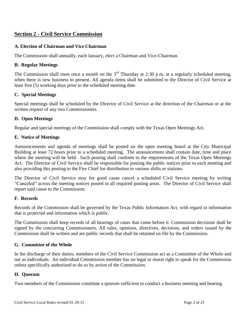# **Section 2 - Civil Service Commission**

#### **A. Election of Chairman and Vice Chairman**

The Commission shall annually, each January, elect a Chairman and Vice-Chairman.

#### **B. Regular Meetings**

The Commission shall meet once a month on the  $3<sup>rd</sup>$  Thursday at 2:30 p.m. at a regularly scheduled meeting, when there is new business to present. All agenda items shall be submitted to the Director of Civil Service at least five (5) working days prior to the scheduled meeting date.

#### **C. Special Meetings**

Special meetings shall be scheduled by the Director of Civil Service at the direction of the Chairman or at the written request of any two Commissioners.

#### **D. Open Meetings**

Regular and special meetings of the Commission shall comply with the Texas Open Meetings Act.

#### **E. Notice of Meetings**

Announcements and agenda of meetings shall be posted on the open meeting board at the City Municipal Building at least 72 hours prior to a scheduled meeting. The announcement shall contain date, time and place where the meeting will be held. Such posting shall conform to the requirements of the Texas Open Meetings Act. The Director of Civil Service shall be responsible for posting the public notices prior to each meeting and also providing this posting to the Fire Chief for distribution to various shifts or stations.

The Director of Civil Service may for good cause cancel a scheduled Civil Service meeting by writing "Canceled" across the meeting notices posted in all required posting areas. The Director of Civil Service shall report said cause to the Commission.

#### **F. Records**

Records of the Commission shall be governed by the Texas Public Information Act, with regard to information that is protected and information which is public.

The Commission shall keep records of all hearings of cases that come before it. Commission decisions shall be signed by the concurring Commissioners. All rules, opinions, directives, decisions, and orders issued by the Commission shall be written and are public records that shall be retained on file by the Commission.

#### **G. Committee of the Whole**

In the discharge of their duties, members of the Civil Service Commission act as a Committee of the Whole and not as individuals. An individual Commission member has no legal or moral right to speak for the Commission unless specifically authorized to do so by action of the Commission.

#### **H. Quorum**

Two members of the Commission constitute a quorum sufficient to conduct a business meeting and hearing.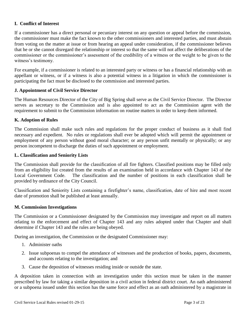#### **I. Conflict of Interest**

If a commissioner has a direct personal or pecuniary interest on any question or appeal before the commission, the commissioner must make the fact known to the other commissioners and interested parties, and must abstain from voting on the matter at issue or from hearing an appeal under consideration, if the commissioner believes that he or she cannot disregard the relationship or interest so that the same will not affect the deliberations of the commissioner or the commissioner's assessment of the credibility of a witness or the weight to be given to the witness's testimony.

For example, if a commissioner is related to an interested party or witness or has a financial relationship with an appellant or witness, or if a witness is also a potential witness in a litigation in which the commissioner is participating the fact must be disclosed to the commission and interested parties.

#### **J. Appointment of Civil Service Director**

The Human Resources Director of the City of Big Spring shall serve as the Civil Service Director. The Director serves as secretary to the Commission and is also appointed to act as the Commission agent with the requirement to submit to the Commission information on routine matters in order to keep them informed.

#### **K. Adoption of Rules**

The Commission shall make such rules and regulations for the proper conduct of business as it shall find necessary and expedient. No rules or regulations shall ever be adopted which will permit the appointment or employment of any person without good moral character; or any person unfit mentally or physically; or any person incompetent to discharge the duties of such appointment or employment.

#### **L. Classification and Seniority Lists**

The Commission shall provide for the classification of all fire fighters. Classified positions may be filled only from an eligibility list created from the results of an examination held in accordance with Chapter 143 of the Local Government Code. The classification and the number of positions in each classification shall be provided by ordinance of the City Council.

Classification and Seniority Lists containing a firefighter's name, classification, date of hire and most recent date of promotion shall be published at least annually.

#### **M. Commission Investigations**

The Commission or a Commissioner designated by the Commission may investigate and report on all matters relating to the enforcement and effect of Chapter 143 and any rules adopted under that Chapter and shall determine if Chapter 143 and the rules are being obeyed.

During an investigation, the Commission or the designated Commissioner may:

- 1. Administer oaths
- 2. Issue subpoenas to compel the attendance of witnesses and the production of books, papers, documents, and accounts relating to the investigation; and
- 3. Cause the deposition of witnesses residing inside or outside the state.

A deposition taken in connection with an investigation under this section must be taken in the manner prescribed by law for taking a similar deposition in a civil action in federal district court. An oath administered or a subpoena issued under this section has the same force and effect as an oath administered by a magistrate in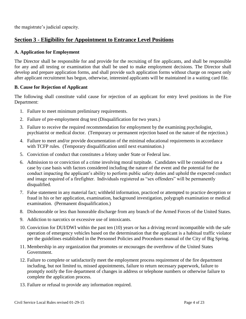the magistrate's judicial capacity.

# **Section 3 - Eligibility for Appointment to Entrance Level Positions**

#### **A. Application for Employment**

The Director shall be responsible for and provide for the recruiting of fire applicants, and shall be responsible for any and all testing or examination that shall be used to make employment decisions. The Director shall develop and prepare application forms, and shall provide such application forms without charge on request only after applicant recruitment has begun, otherwise, interested applicants will be maintained in a waiting card file.

#### **B. Cause for Rejection of Applicant**

The following shall constitute valid cause for rejection of an applicant for entry level positions in the Fire Department:

- 1. Failure to meet minimum preliminary requirements.
- 2. Failure of pre-employment drug test (Disqualification for two years.)
- 3. Failure to receive the required recommendation for employment by the examining psychologist, psychiatrist or medical doctor. (Temporary or permanent rejection based on the nature of the rejection.)
- 4. Failure to meet and/or provide documentation of the minimal educational requirements in accordance with TCFP rules. (Temporary disqualification until next examination.)
- 5. Conviction of conduct that constitutes a felony under State or Federal law.
- 6. Admission to or conviction of a crime involving moral turpitude. Candidates will be considered on a case by case basis with factors considered including the nature of the event and the potential for the conduct impacting the applicant's ability to perform public safety duties and uphold the expected conduct and image required of a firefighter. Individuals registered as "sex offenders" will be permanently disqualified.
- 7. False statement in any material fact; withheld information, practiced or attempted to practice deception or fraud in his or her application, examination, background investigation, polygraph examination or medical examination. (Permanent disqualification.)
- 8. Dishonorable or less than honorable discharge from any branch of the Armed Forces of the United States.
- 9. Addiction to narcotics or excessive use of intoxicants.
- 10. Conviction for DUI/DWI within the past ten (10) years or has a driving record incompatible with the safe operation of emergency vehicles based on the determination that the applicant is a habitual traffic violator per the guidelines established in the Personnel Policies and Procedures manual of the City of Big Spring.
- 11. Membership in any organization that promotes or encourages the overthrow of the United States Government.
- 12. Failure to complete or satisfactorily meet the employment process requirement of the fire department including, but not limited to, missed appointments, failure to return necessary paperwork, failure to promptly notify the fire department of changes in address or telephone numbers or otherwise failure to complete the application process.
- 13. Failure or refusal to provide any information required.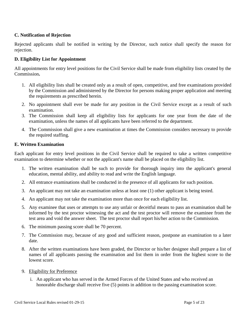#### **C. Notification of Rejection**

Rejected applicants shall be notified in writing by the Director, such notice shall specify the reason for rejection.

#### **D. Eligibility List for Appointment**

All appointments for entry level positions for the Civil Service shall be made from eligibility lists created by the Commission**.**

- 1. All eligibility lists shall be created only as a result of open, competitive, and free examinations provided by the Commission and administered by the Director for persons making proper application and meeting the requirements as prescribed herein.
- 2. No appointment shall ever be made for any position in the Civil Service except as a result of such examination.
- 3. The Commission shall keep all eligibility lists for applicants for one year from the date of the examination, unless the names of all applicants have been referred to the department.
- 4. The Commission shall give a new examination at times the Commission considers necessary to provide the required staffing.

#### **E. Written Examination**

Each applicant for entry level positions in the Civil Service shall be required to take a written competitive examination to determine whether or not the applicant's name shall be placed on the eligibility list.

- 1. The written examination shall be such to provide for thorough inquiry into the applicant's general education, mental ability, and ability to read and write the English language.
- 2. All entrance examinations shall be conducted in the presence of all applicants for such position.
- 3. An applicant may not take an examination unless at least one (1) other applicant is being tested.
- 4. An applicant may not take the examination more than once for each eligibility list.
- 5. Any examinee that uses or attempts to use any unfair or deceitful means to pass an examination shall be informed by the test proctor witnessing the act and the test proctor will remove the examinee from the test area and void the answer sheet. The test proctor shall report his/her action to the Commission.
- 6. The minimum passing score shall be 70 percent.
- 7. The Commission may, because of any good and sufficient reason, postpone an examination to a later date.
- 8. After the written examinations have been graded, the Director or his/her designee shall prepare a list of names of all applicants passing the examination and list them in order from the highest score to the lowest score.
- 9. Eligibility for Preference
	- i. An applicant who has served in the Armed Forces of the United States and who received an honorable discharge shall receive five (5) points in addition to the passing examination score.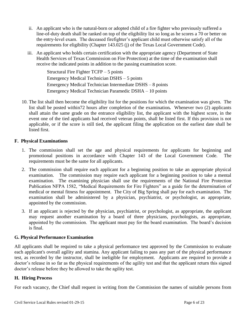- ii. An applicant who is the natural-born or adopted child of a fire fighter who previously suffered a line-of-duty death shall be ranked on top of the eligibility list so long as he scores a 70 or better on the entry-level exam. The deceased firefighter's applicant child must otherwise satisfy all of the requirements for eligibility (Chapter 143.025 (j) of the Texas Local Government Code).
- iii. An applicant who holds certain certification with the appropriate agency (Department of State Health Services of Texas Commission on Fire Protection) at the time of the examination shall receive the indicated points in addition to the passing examination score.

Structural Fire Fighter TCFP – 5 points Emergency Medical Technician DSHS – 5 points Emergency Medical Technician Intermediate DSHS – 8 points Emergency Medical Technician Paramedic DSHA – 10 points

10. The list shall then become the eligibility list for the positions for which the examination was given. The list shall be posted within72 hours after completion of the examination*.* Whenever two (2) applicants shall attain the same grade on the entrance eligibility list, the applicant with the highest score, in the event one of the tied applicants had received veteran points, shall be listed first. If this provision is not applicable, or if the score is still tied, the applicant filing the application on the earliest date shall be listed first.

#### **F. Physical Examinations**

- 1. The commission shall set the age and physical requirements for applicants for beginning and promotional positions in accordance with Chapter 143 of the Local Government Code. The requirements must be the same for all applicants.
- 2. The commission shall require each applicant for a beginning position to take an appropriate physical examination. The commission may require each applicant for a beginning position to take a mental examination.The examining physician shall use the requirements of the National Fire Protection Publication NFPA 1582, "Medical Requirements for Fire Fighters" as a guide for the determination of medical or mental fitness for appointment. The City of Big Spring shall pay for each examination. The examination shall be administered by a physician, psychiatrist, or psychologist, as appropriate, appointed by the commission.
- 3. If an applicant is rejected by the physician, psychiatrist, or psychologist, as appropriate, the applicant may request another examination by a board of three physicians, psychologists, as appropriate, appointed by the commission. The applicant must pay for the board examination. The board's decision is final.

#### **G. Physical Performance Examination**

All applicants shall be required to take a physical performance test approved by the Commission to evaluate each applicant's overall agility and stamina. Any applicant failing to pass any part of the physical performance test, as recorded by the instructor, shall be ineligible for employment. Applicants are required to provide a doctor's release in so far as the physical requirements of the agility test and that the applicant return this signed doctor's release before they be allowed to take the agility test.

#### **H. Hiring Process**

For each vacancy, the Chief shall request in writing from the Commission the names of suitable persons from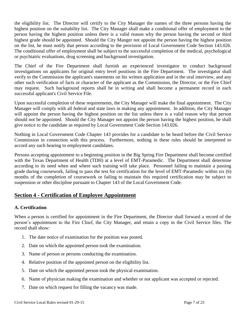the eligibility list. The Director will certify to the City Manager the names of the three persons having the highest position on the suitability list. The City Manager shall make a conditional offer of employment to the person having the highest position unless there is a valid reason why the person having the second or third highest grade should be appointed. Should the City Manger not appoint the person having the highest position on the list, he must notify that person according to the provision of Local Government Code Section 143.026. The conditional offer of employment shall be subject to the successful completion of the medical, psychological or psychiatric evaluations, drug screening and background investigation.

The Chief of the Fire Department shall furnish an experienced investigator to conduct background investigations on applicants for original entry level positions in the Fire Department. The investigator shall verify to the Commission the applicant's statements on his written application and in the oral interview, and any other such verification of facts or character of the applicant as the Commission, the Director, or the Fire Chief may request. Such background reports shall be in writing and shall become a permanent record in each successful applicant's Civil Service File.

Upon successful completion of these requirements, the City Manager will make the final appointment. The City Manager will comply with all federal and state laws in making any appointment. In addition, the City Manager will appoint the person having the highest position on the list unless there is a valid reason why that person should not be appointed. Should the City Manager not appoint the person having the highest position, he shall give notice to the candidate as required by Local Government Code Section 143.026.

Nothing in Local Government Code Chapter 143 provides for a candidate to be heard before the Civil Service Commission in connection with this process. Furthermore, nothing in these rules should be interpreted to accord any such hearing to employment candidates.

Persons accepting appointment to a beginning position in the Big Spring Fire Department shall become certified with the Texas Department of Health (TDH) at a level of EMT-Paramedic. The Department shall determine according to its need when and where such training will take place. Personnel failing to maintain a passing grade during coursework, failing to pass the test for certification for the level of EMT-Paramedic within six (6) months of the completion of coursework or failing to maintain this required certification may be subject to suspension or other discipline pursuant to Chapter 143 of the Local Government Code.

# **Section 4 - Certification of Employee Appointment**

# **A. Certification**

When a person is certified for appointment in the Fire Department, the Director shall forward a record of the person's appointment to the Fire Chief, the City Manager, and retain a copy in the Civil Service files. The record shall show:

- 1. The date notice of examination for the position was posted.
- 2. Date on which the appointed person took the examination.
- 3. Name of person or persons conducting the examination.
- 4. Relative position of the appointed person on the eligibility list.
- 5. Date on which the appointed person took the physical examination.
- 6. Name of physician making the examination and whether or not applicant was accepted or rejected.
- 7. Date on which request for filling the vacancy was made.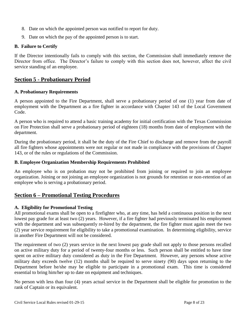- 8. Date on which the appointed person was notified to report for duty.
- 9. Date on which the pay of the appointed person is to start.

#### **B. Failure to Certify**

If the Director intentionally fails to comply with this section, the Commission shall immediately remove the Director from office. The Director's failure to comply with this section does not, however, affect the civil service standing of an employee.

# **Section 5 - Probationary Period**

#### **A. Probationary Requirements**

A person appointed to the Fire Department, shall serve a probationary period of one (1) year from date of employment with the Department as a fire fighter in accordance with Chapter 143 of the Local Government Code.

A person who is required to attend a basic training academy for initial certification with the Texas Commission on Fire Protection shall serve a probationary period of eighteen (18) months from date of employment with the department.

During the probationary period, it shall be the duty of the Fire Chief to discharge and remove from the payroll all fire fighters whose appointments were not regular or not made in compliance with the provisions of Chapter 143, or of the rules or regulations of the Commission.

#### **B. Employee Organization Membership Requirements Prohibited**

An employee who is on probation may not be prohibited from joining or required to join an employee organization. Joining or not joining an employee organization is not grounds for retention or non-retention of an employee who is serving a probationary period.

# **Section 6 – Promotional Testing Procedures**

#### **A. Eligibility for Promotional Testing**

All promotional exams shall be open to a firefighter who, at any time, has held a continuous position in the next lowest pay grade for at least two (2) years. However, if a fire fighter had previously terminated his employment with the department and was subsequently re-hired by the department, the fire fighter must again meet the two (2) year service requirement for eligibility to take a promotional examination. In determining eligibility, service in another Fire Department will not be considered.

The requirement of two (2) years service in the next lowest pay grade shall not apply to those persons recalled on active military duty for a period of twenty-four months or less. Such person shall be entitled to have time spent on active military duty considered as duty in the Fire Department. However, any persons whose active military duty exceeds twelve (12) months shall be required to serve ninety (90) days upon returning to the Department before he/she may be eligible to participate in a promotional exam. This time is considered essential to bring him/her up to date on equipment and techniques.

No person with less than four (4) years actual service in the Department shall be eligible for promotion to the rank of Captain or its equivalent.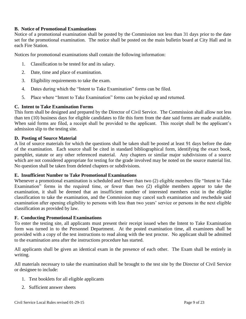#### **B. Notice of Promotional Examinations**

Notice of a promotional examination shall be posted by the Commission not less than 31 days prior to the date set for the promotional examination. The notice shall be posted on the main bulletin board at City Hall and in each Fire Station.

Notices for promotional examinations shall contain the following information:

- 1. Classification to be tested for and its salary.
- 2. Date, time and place of examination.
- 3. Eligibility requirements to take the exam.
- 4. Dates during which the "Intent to Take Examination" forms can be filed.
- 5. Place where "Intent to Take Examination" forms can be picked up and returned.

#### **C. Intent to Take Examination Forms**

This form shall be designed and prepared by the Director of Civil Service. The Commission shall allow not less than ten (10) business days for eligible candidates to file this form from the date said forms are made available. When said forms are filed, a receipt shall be provided to the applicant. This receipt shall be the applicant's admission slip to the testing site.

#### **D. Posting of Source Material**

A list of source materials for which the questions shall be taken shall be posted at least 91 days before the date of the examination. Each source shall be cited in standard bibliographical form, identifying the exact book, pamphlet, statute or any other referenced material. Any chapters or similar major subdivisions of a source which are not considered appropriate for testing for the grade involved may be noted on the source material list. No question shall be taken from deleted chapters or subdivisions.

#### **E. Insufficient Number to Take Promotional Examinations**

Whenever a promotional examination is scheduled and fewer than two (2) eligible members file "Intent to Take Examination" forms in the required time, or fewer than two (2) eligible members appear to take the examination, it shall be deemed that an insufficient number of interested members exist in the eligible classification to take the examination, and the Commission may cancel such examination and reschedule said examination after opening eligibility to persons with less than two years' service or persons in the next eligible classification as provided by law.

#### **F. Conducting Promotional Examinations**

To enter the testing site, all applicants must present their receipt issued when the Intent to Take Examination form was turned in to the Personnel Department. At the posted examination time, all examinees shall be provided with a copy of the test instructions to read along with the test proctor. No applicant shall be admitted to the examination area after the instructions procedure has started.

All applicants shall be given an identical exam in the presence of each other. The Exam shall be entirely in writing.

All materials necessary to take the examination shall be brought to the test site by the Director of Civil Service or designee to include:

- 1. Test booklets for all eligible applicants
- 2. Sufficient answer sheets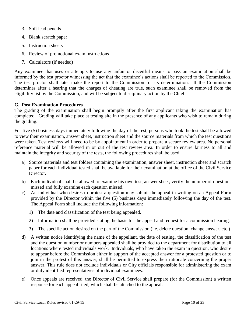- 3. Soft lead pencils
- 4. Blank scratch paper
- 5. Instruction sheets
- 6. Review of promotional exam instructions
- 7. Calculators (if needed)

Any examinee that uses or attempts to use any unfair or deceitful means to pass an examination shall be informed by the test proctor witnessing the act that the examinee's actions shall be reported to the Commission. The test proctor shall later make the report to the Commission for its determination. If the Commission determines after a hearing that the charges of cheating are true, such examinee shall be removed from the eligibility list by the Commission, and will be subject to disciplinary action by the Chief.

#### **G. Post Examination Procedures**

The grading of the examination shall begin promptly after the first applicant taking the examination has completed. Grading will take place at testing site in the presence of any applicants who wish to remain during the grading.

For five (5) business days immediately following the day of the test, persons who took the test shall be allowed to view their examination, answer sheet, instruction sheet and the source materials from which the test questions were taken. Test reviews will need to be by appointment in order to prepare a secure review area. No personal reference material will be allowed in or out of the test review area. In order to ensure fairness to all and maintain the integrity and security of the tests, the following procedures shall be used:

- a) Source materials and test folders containing the examination, answer sheet, instruction sheet and scratch paper for each individual tested shall be available for their examination at the office of the Civil Service Director.
- b) Each individual shall be allowed to examine his own test, answer sheet, verify the number of questions missed and fully examine each question missed.
- c) An individual who desires to protest a question may submit the appeal in writing on an Appeal Form provided by the Director within the five (5) business days immediately following the day of the test. The Appeal Form shall include the following information:
	- 1) The date and classification of the test being appealed.
	- 2) Information shall be provided stating the basis for the appeal and request for a commission hearing.
	- 3) The specific action desired on the part of the Commission (i.e. delete question, change answer, etc.)
- d) A written notice identifying the name of the appellant, the date of testing, the classification of the test and the question number or numbers appealed shall be provided to the department for distribution to all locations where tested individuals work. Individuals, who have taken the exam in question, who desire to appear before the Commission either in support of the accepted answer for a protested question or to join in the protest of this answer, shall be permitted to express their rationale concerning the proper answer. This rule does not exclude individuals or City officials responsible for administering the exam or duly identified representatives of individual examinees*.*
- e) Once appeals are received, the Director of Civil Service shall prepare (for the Commission) a written response for each appeal filed*,* which shall be attached to the appeal: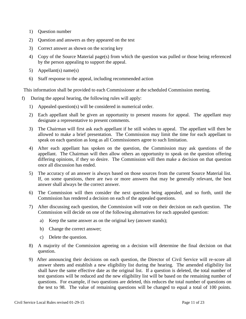- 1) Question number
- 2) Question and answers as they appeared on the test
- 3) Correct answer as shown on the scoring key
- 4) Copy of the Source Material page(s) from which the question was pulled or those being referenced by the person appealing to support the appeal.
- 5) Appellant(s) name(s)
- 6) Staff response to the appeal, including recommended action

This information shall be provided to each Commissioner at the scheduled Commission meeting*.*

- f) During the appeal hearing, the following rules will apply:
	- 1) Appealed question(s) will be considered in numerical order.
	- 2) Each appellant shall be given an opportunity to present reasons for appeal. The appellant may designate a representative to present comments.
	- 3) The Chairman will first ask each appellant if he still wishes to appeal. The appellant will then be allowed to make a brief presentation. The Commission may limit the time for each appellant to speak on each question as long as all Commissioners agree to such limitation.
	- 4) After each appellant has spoken on the question, the Commission may ask questions of the appellant. The Chairman will then allow others an opportunity to speak on the question offering differing opinions, if they so desire. The Commission will then make a decision on that question once all discussion has ended.
	- 5) The accuracy of an answer is always based on those sources from the current Source Material list. If, on some questions, there are two or more answers that may be generally relevant, the best answer shall always be the correct answer.
	- 6) The Commission will then consider the next question being appealed, and so forth, until the Commission has rendered a decision on each of the appealed questions.
	- 7) After discussing each question, the Commission will vote on their decision on each question. The Commission will decide on one of the following alternatives for each appealed question:
		- a) Keep the same answer as on the original key (answer stands);
		- b) Change the correct answer;
		- c) Delete the question.
	- 8) A majority of the Commission agreeing on a decision will determine the final decision on that question.
	- 9) After announcing their decisions on each question, the Director of Civil Service will re-score all answer sheets and establish a new eligibility list during the hearing. The amended eligibility list shall have the same effective date as the original list. If a question is deleted, the total number of test questions will be reduced and the new eligibility list will be based on the remaining number of questions. For example, if two questions are deleted, this reduces the total number of questions on the test to 98. The value of remaining questions will be changed to equal a total of 100 points.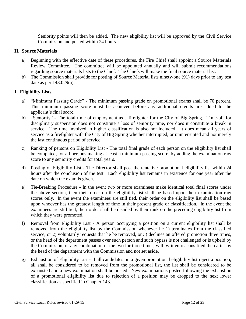Seniority points will then be added. The new eligibility list will be approved by the Civil Service Commission and posted within 24 hours.

#### **H. Source Materials**

- a) Beginning with the effective date of these procedures, the Fire Chief shall appoint a Source Materials Review Committee. The committee will be appointed annually and will submit recommendations regarding source materials lists to the Chief. The Chiefs will make the final source material list.
- b) The Commission shall provide for posting of Source Material lists ninety-one (91) days prior to any test date as per 143.029(a).

#### **I. Eligibility Lists**

- a) "Minimum Passing Grade" The minimum passing grade on promotional exams shall be 70 percent. This minimum passing score must be achieved before any additional credits are added to the applicant's final score.
- b) "Seniority" The total time of employment as a firefighter for the City of Big Spring. Time-off for disciplinary suspension does not constitute a loss of seniority time, nor does it constitute a break in service. The time involved in higher classification is also not included. It does mean all years of service as a firefighter with the City of Big Spring whether interrupted, or uninterrupted and not merely the last continuous period of service.
- c) Ranking of persons on Eligibility List The total final grade of each person on the eligibility list shall be computed, for all persons making at least a minimum passing score, by adding the examination raw score to any seniority credits for total years.
- d) Posting of Eligibility List The Director shall post the tentative promotional eligibility list within 24 hours after the conclusion of the test. Each eligibility list remains in existence for one year after the date on which the exam is given.
- e) Tie-Breaking Procedure In the event two or more examinees make identical total final scores under the above section, then their order on the eligibility list shall be based upon their examination raw scores only. In the event the examinees are still tied, their order on the eligibility list shall be based upon whoever has the greatest length of time in their present grade or classification. In the event the examinees are still tied, their order shall be decided by their rank on the preceding eligibility list from which they were promoted.
- f) Removal from Eligibility List A person occupying a position on a current eligibility list shall be removed from the eligibility list by the Commission whenever he 1) terminates from the classified service, or 2) voluntarily requests that he be removed, or 3) declines an offered promotion three times, or the head of the department passes over such person and such bypass is not challenged or is upheld by the Commission, or any combination of the two for three times, with written reasons filed thereafter by the head of the department with the Commission and not set aside.
- g) Exhaustion of Eligibility List If all candidates on a given promotional eligibility list reject a position, all shall be considered to be removed from the promotional list, the list shall be considered to be exhausted and a new examination shall be posted. New examinations posted following the exhaustion of a promotional eligibility list due to rejection of a position may be dropped to the next lower classification as specified in Chapter 143.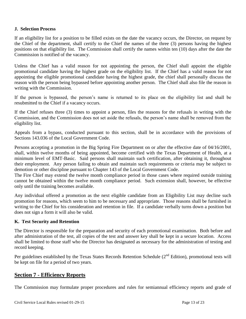#### **J. Selection Process**

If an eligibility list for a position to be filled exists on the date the vacancy occurs, the Director, on request by the Chief of the department, shall certify to the Chief the names of the three (3) persons having the highest positions on that eligibility list. The Commission shall certify the names within ten (10) days after the date the Commission is notified of the vacancy.

Unless the Chief has a valid reason for not appointing the person, the Chief shall appoint the eligible promotional candidate having the highest grade on the eligibility list. If the Chief has a valid reason for not appointing the eligible promotional candidate having the highest grade, the chief shall personally discuss the reason with the person being bypassed before appointing another person. The Chief shall also file the reason in writing with the Commission.

If the person is bypassed, the person's name is returned to its place on the eligibility list and shall be resubmitted to the Chief if a vacancy occurs.

If the Chief refuses three (3) times to appoint a person, files the reasons for the refusals in writing with the Commission, and the Commission does not set aside the refusals, the person's name shall be removed from the eligibility list.

Appeals from a bypass, conducted pursuant to this section, shall be in accordance with the provisions of Sections 143.036 of the Local Government Code.

Persons accepting a promotion in the Big Spring Fire Department on or after the effective date of 04/16/2001, shall, within twelve months of being appointed, become certified with the Texas Department of Health, at a minimum level of EMT-Basic. Said persons shall maintain such certification, after obtaining it, throughout their employment. Any person failing to obtain and maintain such requirements or criteria may be subject to demotion or other discipline pursuant to Chapter 143 of the Local Government Code.

The Fire Chief may extend the twelve month compliance period in those cases where required outside training cannot be obtained within the twelve month compliance period. Such extension shall, however, be effective only until the training becomes available.

Any individual offered a promotion as the next eligible candidate from an Eligibility List may decline such promotion for reasons, which seem to him to be necessary and appropriate. Those reasons shall be furnished in writing to the Chief for his consideration and retention in file. If a candidate verbally turns down a position but does not sign a form it will also be valid.

#### **K. Test Security and Retention**

The Director is responsible for the preparation and security of each promotional examination. Both before and after administration of the test, all copies of the test and answer key shall be kept in a secure location. Access shall be limited to those staff who the Director has designated as necessary for the administration of testing and record keeping.

Per guidelines established by the Texas States Records Retention Schedule (2<sup>nd</sup> Edition), promotional tests will be kept on file for a period of two years.

# **Section 7 - Efficiency Reports**

The Commission may formulate proper procedures and rules for semiannual efficiency reports and grade of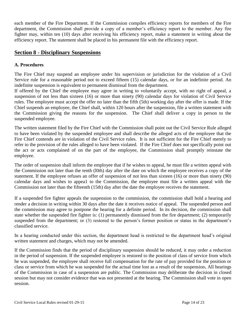each member of the Fire Department. If the Commission compiles efficiency reports for members of the Fire department, the Commission shall provide a copy of a member's efficiency report to the member. Any fire fighter may, within ten (10) days after receiving his efficiency report, make a statement in writing about the efficiency report. The statement shall be placed in his permanent file with the efficiency report.

# **Section 8 - Disciplinary Suspensions**

#### **A. Procedures**

The Fire Chief may suspend an employee under his supervision or jurisdiction for the violation of a Civil Service rule for a reasonable period not to exceed fifteen (15) calendar days, or for an indefinite period. An indefinite suspension is equivalent to permanent dismissal from the department.

If offered by the Chief the employee may agree in writing to voluntarily accept, with no right of appeal, a suspension of not less than sixteen (16) or more than ninety (90) calendar days for violation of Civil Service rules. The employee must accept the offer no later than the fifth (5th) working day after the offer is made. If the Chief suspends an employee, the Chief shall, within 120 hours after the suspension, file a written statement with the Commission giving the reasons for the suspension. The Chief shall deliver a copy in person to the suspended employee.

The written statement filed by the Fire Chief with the Commission shall point out the Civil Service Rule alleged to have been violated by the suspended employee and shall describe the alleged acts of the employee that the Fire Chief contends are in violation of the Civil Service rules. It is not sufficient for the Fire Chief merely to refer to the provision of the rules alleged to have been violated. If the Fire Chief does not specifically point out the act or acts complained of on the part of the employee, the Commission shall promptly reinstate the employee.

The order of suspension shall inform the employee that if he wishes to appeal, he must file a written appeal with the Commission not later than the tenth (l0th) day after the date on which the employee receives a copy of the statement. If the employee refuses an offer of suspension of not less than sixteen (16) or more than ninety (90) calendar days and wishes to appea1 to the Commission, the employee must file a written appeal with the Commission not later than the fifteenth (15th) day after the date the employee receives the statement.

If a suspended fire fighter appeals the suspension to the commission, the commission shall hold a hearing and render a decision in writing within 30 days after the date it receives notice of appeal. The suspended person and the commission may agree to postpone the hearing for a definite period. In its decision, the commission shall state whether the suspended fire fighter is: (1) permanently dismissed from the fire department; (2) temporarily suspended from the department; or (3) restored to the person's former position or status in the department's classified service.

In a hearing conducted under this section, the department head is restricted to the department head's original written statement and charges, which may not be amended.

If the Commission finds that the period of disciplinary suspension should be reduced, it may order a reduction in the period of suspension. If the suspended employee is restored to the position of class of service from which he was suspended, the employee shall receive full compensation for the rate of pay provided for the position or class or service from which he was suspended for the actual time lost as a result of the suspension**.** All hearings of the Commission in case of a suspension are public. The Commission may deliberate the decision in closed session but may not consider evidence that was not presented at the hearing. The Commission shall vote in open session.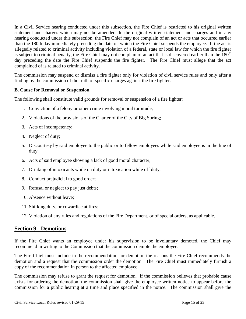In a Civil Service hearing conducted under this subsection, the Fire Chief is restricted to his original written statement and charges which may not be amended. In the original written statement and charges and in any hearing conducted under this subsection, the Fire Chief may not complain of an act or acts that occurred earlier than the 180th day immediately preceding the date on which the Fire Chief suspends the employee. If the act is allegedly related to criminal activity including violation of a federal, state or local law for which the fire fighter is subject to criminal penalty, the Fire Chief may not complain of an act that is discovered earlier than the  $180<sup>th</sup>$ day preceding the date the Fire Chief suspends the fire fighter. The Fire Chief must allege that the act complained of is related to criminal activity.

The commission may suspend or dismiss a fire fighter only for violation of civil service rules and only after a finding by the commission of the truth of specific charges against the fire fighter.

#### **B. Cause for Removal or Suspension**

The following shall constitute valid grounds for removal or suspension of a fire fighter:

- 1. Conviction of a felony or other crime involving moral turpitude;
- 2. Violations of the provisions of the Charter of the City of Big Spring;
- 3. Acts of incompetency;
- 4. Neglect of duty;
- 5. Discourtesy by said employee to the public or to fellow employees while said employee is in the line of duty;
- 6. Acts of said employee showing a lack of good moral character;
- 7. Drinking of intoxicants while on duty or intoxication while off duty;
- 8. Conduct prejudicial to good order**;**
- 9. Refusal or neglect to pay just debts;
- 10. Absence without leave;
- 11. Shirking duty, or cowardice at fires;
- 12. Violation of any rules and regulations of the Fire Department, or of special orders, as applicable.

# **Section 9 - Demotions**

If the Fire Chief wants an employee under his supervision to be involuntary demoted, the Chief may recommend in writing to the Commission that the commission demote the employee.

The Fire Chief must include in the recommendation for demotion the reasons the Fire Chief recommends the demotion and a request that the commission order the demotion. The Fire Chief must immediately furnish a copy of the recommendation in person to the affected employee**.**

The commission may refuse to grant the request for demotion. If the commission believes that probable cause exists for ordering the demotion, the commission shall give the employee written notice to appear before the commission for a public hearing at a time and place specified in the notice. The commission shall give the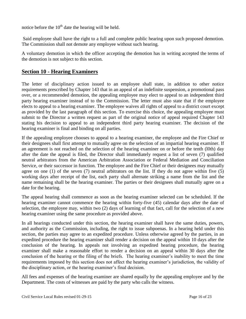notice before the  $10<sup>th</sup>$  date the hearing will be held.

Said employee shall have the right to a full and complete public hearing upon such proposed demotion. The Commission shall not demote any employee without such hearing.

A voluntary demotion in which the officer accepting the demotion has in writing accepted the terms of the demotion is not subject to this section.

# **Section 10 - Hearing Examiners**

The letter of disciplinary action issued to an employee shall state, in addition to other notice requirements prescribed by Chapter 143 that in an appeal of an indefinite suspension, a promotional pass over, or a recommended demotion, the appealing employee may elect to appeal to an independent third party hearing examiner instead of to the Commission. The letter must also state that if the employee elects to appeal to a hearing examiner. The employee waives all rights of appeal to a district court except as provided by the last paragraph of this section. To exercise this choice, the appealing employee must submit to the Director a written request as part of the original notice of appeal required Chapter 143 stating his decision to appeal to an independent third party hearing examiner. The decision of the hearing examiner is final and binding on all parties.

If the appealing employee chooses to appeal to a hearing examiner, the employee and the Fire Chief or their designees shall first attempt to mutually agree on the selection of an impartial hearing examiner. If an agreement is not reached on the selection of the hearing examiner on or before the tenth (l0th) day after the date the appeal is filed, the Director shall immediately request a list of seven (7) qualified neutral arbitrators from the American Arbitration Association or Federal Mediation and Conciliation Service, or their successor in function. The employee and the Fire Chief or their designees may mutually agree on one  $(1)$  of the seven  $(7)$  neutral arbitrators on the list. If they do not agree within five  $(5)$ working days after receipt of the list, each party shall alternate striking a name from the list and the name remaining shall be the hearing examiner. The parties or their designees shall mutually agree on a date for the hearing.

The appeal hearing shall commence as soon as the hearing examiner selected can be scheduled. If the hearing examiner cannot commence the hearing within forty-five (45) calendar days after the date of selection, the employee may, within two (2) days of learning of that fact, call for the selection of a new hearing examiner using the same procedure as provided above.

In all hearings conducted under this section, the hearing examiner shall have the same duties, powers, and authority as the Commission, including, the right to issue subpoenas. In a hearing held under this section, the parties may agree to an expedited procedure. Unless otherwise agreed by the parties, in an expedited procedure the hearing examiner shall render a decision on the appeal within 10 days after the conclusion of the hearing. In appeals not involving an expedited hearing procedure, the hearing examiner shall make a reasonable effort to render a decision on an appeal within 30 days after the conclusion of the hearing or the filing of the briefs. The hearing examiner's inability to meet the time requirements imposed by this section does not affect the hearing examiner's jurisdiction, the validity of the disciplinary action, or the hearing examiner's final decision.

All fees and expenses of the hearing examiner are shared equally by the appealing employee and by the Department. The costs of witnesses are paid by the party who calls the witness.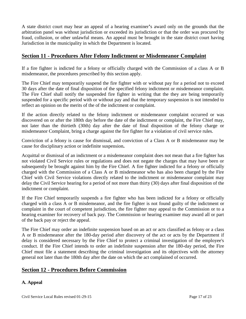A state district court may hear an appeal of a hearing examiner**'**s award only on the grounds that the arbitration panel was without jurisdiction or exceeded its jurisdiction or that the order was procured by fraud, collusion, or other unlawful means. An appeal must be brought in the state district court having Jurisdiction in the municipality in which the Department is located.

# **Section 11 - Procedures After Felony Indictment or Misdemeanor Complaint**

If a fire fighter is indicted for a felony or officially charged with the Commission of a class A or B misdemeanor, the procedures prescribed by this section apply.

The Fire Chief may temporarily suspend the fire fighter with or without pay for a period not to exceed 30 days after the date of final disposition of the specified felony indictment or misdemeanor complaint. The Fire Chief shall notify the suspended fire fighter in writing that the they are being temporarily suspended for a specific period with or without pay and that the temporary suspension is not intended to reflect an opinion on the merits of the of the indictment or complaint.

If the action directly related to the felony indictment or misdemeanor complaint occurred or was discovered on or after the 180th day before the date of the indictment or complaint, the Fire Chief may, not later than the thirtieth (30th) day after the date of final disposition of the felony charge or misdemeanor Complaint, bring a charge against the fire fighter for a violation of civil service rules.

Conviction of a felony is cause for dismissal, and conviction of a Class A or B misdemeanor may be cause for disciplinary action or indefinite suspension**.**

Acquittal or dismissal of an indictment or a misdemeanor complaint does not mean that a fire fighter has not violated Civil Service rules or regulations and does not negate the charges that may have been or subsequently be brought against him by the Fire Chief. A fire fighter indicted for a felony or officially charged with the Commission of a Class A or B misdemeanor who has also been charged by the Fire Chief with Civil Service violations directly related to the indictment or misdemeanor complaint may delay the Civil Service hearing for a period of not more than thirty (30) days after final disposition of the indictment or complaint.

If the Fire Chief temporarily suspends a fire fighter who has been indicted for a felony or officially charged with a class A or B misdemeanor, and the fire fighter is not found guilty of the indictment or complaint in the court of competent jurisdiction, the fire fighter may appeal to the Commission or to a hearing examiner for recovery of back pay. The Commission or hearing examiner may award all or part of the back pay or reject the appeal.

The Fire Chief may order an indefinite suspension based on an act or acts classified as felony or a class A or B misdemeanor after the 180-day period after discovery of the act or acts by the Department if delay is considered necessary by the Fire Chief to protect a criminal investigation of the employee's conduct. If the Fire Chief intends to order an indefinite suspension after the 180-day period, the Fire Chief must file a statement describing the criminal investigation and its objectives with the attorney general not later than the 180th day after the date on which the act complained of occurred.

# **Section 12 - Procedures Before Commission**

# **A. Appeal**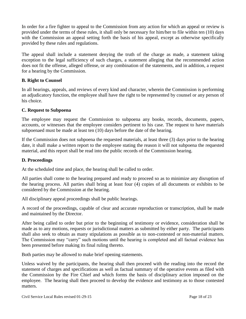In order for a fire fighter to appeal to the Commission from any action for which an appeal or review is provided under the terms of these rules, it shall only be necessary for him/her to file within ten (10) days with the Commission an appeal setting forth the basis of his appeal, except as otherwise specifically provided by these rules and regulations.

The appeal shall include a statement denying the truth of the charge as made, a statement taking exception to the legal sufficiency of such charges, a statement alleging that the recommended action does not fit the offense, alleged offense, or any combination of the statements, and in addition, a request for a hearing by the Commission.

#### **B. Right to Counsel**

In all hearings, appeals, and reviews of every kind and character, wherein the Commission is performing an adjudicatory function, the employee shall have the right to be represented by counsel or any person of his choice.

#### **C. Request to Subpoena**

The employee may request the Commission to subpoena any books, records, documents, papers, accounts, or witnesses that the employee considers pertinent to his case. The request to have materials subpoenaed must be made at least ten (10) days before the date of the hearing.

If the Commission does not subpoena the requested materials, at least three (3) days prior to the hearing date, it shall make a written report to the employee stating the reason it will not subpoena the requested material, and this report shall be read into the public records of the Commission hearing.

#### **D. Proceedings**

At the scheduled time and place, the hearing shall be called to order.

All parties shall come to the hearing prepared and ready to proceed so as to minimize any disruption of the hearing process. All parties shall bring at least four (4) copies of all documents or exhibits to be considered by the Commission at the hearing.

All disciplinary appeal proceedings shall be public hearings.

A record of the proceedings, capable of clear and accurate reproduction or transcription, shall be made and maintained by the Director.

After being called to order but prior to the beginning of testimony or evidence, consideration shall be made as to any motions, requests or jurisdictional matters as submitted by either party. The participants shall also seek to obtain as many stipulations as possible as to non-contested or non-material matters. The Commission may "carry" such motions until the hearing is completed and all factual evidence has been presented before making its final ruling thereto.

Both parties may be allowed to make brief opening statements.

Unless waived by the participants, the hearing shall then proceed with the reading into the record the statement of charges and specifications as well as factual summary of the operative events as filed with the Commission by the Fire Chief and which forms the basis of disciplinary action imposed on the employee. The hearing shall then proceed to develop the evidence and testimony as to those contested matters.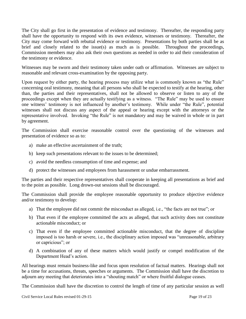The City shall go first in the presentation of evidence and testimony. Thereafter, the responding party shall have the opportunity to respond with its own evidence, witnesses or testimony. Thereafter, the City may come forward with rebuttal evidence or testimony. Presentations by both parties shall be as brief and closely related to the issue(s) as much as is possible. Throughout the proceedings, Commission members may also ask their own questions as needed in order to aid their consideration of the testimony or evidence.

Witnesses may be sworn and their testimony taken under oath or affirmation. Witnesses are subject to reasonable and relevant cross-examination by the opposing party.

Upon request by either party, the hearing process may utilize what is commonly known as "the Rule" concerning oral testimony, meaning that all persons who shall be expected to testify at the hearing, other than, the parties and their representatives, shall not be allowed to observe or listen to any of the proceedings except when they are actually testifying as a witness. "The Rule" may be used to ensure one witness' testimony is not influenced by another's testimony. While under "the Rule", potential witnesses shall not discuss any aspect of the appeal or hearing except with the attorneys or the representative involved. Invoking "the Rule" is not mandatory and may be waived in whole or in part by agreement.

The Commission shall exercise reasonable control over the questioning of the witnesses and presentation of evidence so as to:

- a) make an effective ascertainment of the truth;
- b) keep such presentations relevant to the issues to be determined;
- c) avoid the needless consumption of time and expense; and
- d) protect the witnesses and employees from harassment or undue embarrassment.

The parties and their respective representatives shall cooperate in keeping all presentations as brief and to the point as possible. Long drown-out sessions shall be discouraged.

The Commission shall provide the employee reasonable opportunity to produce objective evidence and/or testimony to develop:

- a) That the employee did not commit the misconduct as alleged, i.e., "the facts are not true"; or
- b) That even if the employee committed the acts as alleged, that such activity does not constitute actionable misconduct; or
- c) That even if the employee committed actionable misconduct, that the degree of discipline imposed is too harsh or severe, i.e., the disciplinary action imposed was "unreasonable, arbitrary or capricious"; or
- d) A combination of any of these matters which would justify or compel modification of the Department Head's action.

All hearings must remain business-like and focus upon resolution of factual matters. Hearings shall not be a time for accusations, threats, speeches or arguments. The Commission shall have the discretion to adjourn any meeting that deteriorates into a "shouting match" or where fruitful dialogue ceases.

The Commission shall have the discretion to control the length of time of any particular session as well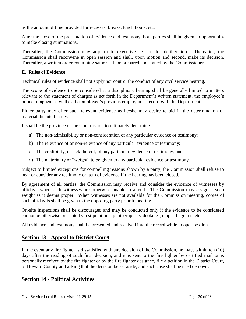as the amount of time provided for recesses, breaks, lunch hours, etc.

After the close of the presentation of evidence and testimony, both parties shall be given an opportunity to make closing summations.

Thereafter, the Commission may adjourn to executive session for deliberation. Thereafter, the Commission shall reconvene in open session and shall, upon motion and second, make its decision. Thereafter, a written order containing same shall be prepared and signed by the Commissioners.

#### **E. Rules of Evidence**

Technical rules of evidence shall not apply nor control the conduct of any civil service hearing.

The scope of evidence to be considered at a disciplinary hearing shall be generally limited to matters relevant to the statement of charges as set forth in the Department's written statement, the employee's notice of appeal as well as the employee's previous employment record with the Department.

Either party may offer such relevant evidence as he/she may desire to aid in the determination of material disputed issues.

It shall be the province of the Commission to ultimately determine:

- a) The non-admissibility or non-consideration of any particular evidence or testimony;
- b) The relevance of or non-relevance of any particular evidence or testimony;
- c) The credibility, or lack thereof, of any particular evidence or testimony; and
- d) The materiality or "weight" to be given to any particular evidence or testimony.

Subject to limited exceptions for compelling reasons shown by a party, the Commission shall refuse to hear or consider any testimony or item of evidence if the hearing has been closed.

By agreement of all parties, the Commission may receive and consider the evidence of witnesses by affidavit when such witnesses are otherwise unable to attend. The Commission may assign it such weight as it deems proper. When witnesses are not available for the Commission meeting, copies of such affidavits shall be given to the opposing party prior to hearing.

On-site inspections shall be discouraged and may be conducted only if the evidence to be considered cannot be otherwise presented via stipulations, photographs, videotapes, maps, diagrams, etc.

All evidence and testimony shall be presented and received into the record while in open session.

# **Section 13 - Appeal to District Court**

In the event any fire fighter is dissatisfied with any decision of the Commission, he may, within ten (10) days after the reading of such final decision, and it is sent to the fire fighter by certified mail or is personally received by the fire fighter or by the fire fighter designee, file a petition in the District Court, of Howard County and asking that the decision be set aside, and such case shall be tried de novo**.**

# **Section 14 - Political Activities**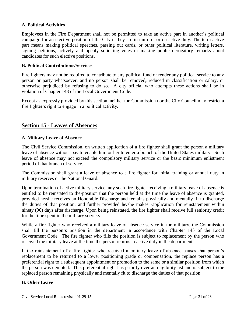#### **A. Political Activities**

Employees in the Fire Department shall not be permitted to take an active part in another's political campaign for an elective position of the City if they are in uniform or on active duty. The term active part means making political speeches, passing out cards, or other political literature, writing letters, signing petitions, actively and openly soliciting votes or making public derogatory remarks about candidates for such elective positions.

#### **B. Political Contributions/Services**

Fire fighters may not be required to contribute to any political fund or render any political service to any person or party whatsoever; and no person shall be removed**,** reduced in classification or salary, or otherwise prejudiced by refusing to do so. A city official who attempts these actions shall be in violation of Chapter 143 of the Local Government Code.

Except as expressly provided by this section, neither the Commission nor the City Council may restrict a fire fighter's right to engage in a political activity.

# **Section 15 - Leaves of Absences**

#### **A. Military Leave of Absence**

The Civil Service Commission, on written application of a fire fighter shall grant the person a military leave of absence without pay to enable him or her to enter a branch of the United States military. Such leave of absence may not exceed the compulsory military service or the basic minimum enlistment period of that branch of service.

The Commission shall grant a leave of absence to a fire fighter for initial training or annual duty in military reserves or the National Guard.

Upon termination of active military service, any such fire fighter receiving a military leave of absence is entitled to be reinstated to the-position that the person held at the time the leave of absence is granted, provided he/she receives an Honorable Discharge and remains physically and mentally fit to discharge the duties of that position; and further provided he/she makes -application for reinstatement within ninety (90) days after discharge. Upon being reinstated, the fire fighter shall receive full seniority credit for the time spent in the military service**.**

While a fire fighter who received a military leave of absence service in the military, the Commission shall fill the person's position in the department in accordance with Chapter 143 of the Local Government Code. The fire fighter who fills the position is subject to replacement by the person who received the military leave at the time the person returns to active duty in the department.

If the reinstatement of a fire fighter who received a military leave of absence causes that person's replacement to be returned to a lower positioning grade or compensation, the replace person has a preferential right to a subsequent appointment or promotion to the same or a similar position from which the person was demoted. This preferential right has priority over an eligibility list and is subject to the replaced person remaining physically and mentally fit to discharge the duties of that position.

#### **B. Other Leave –**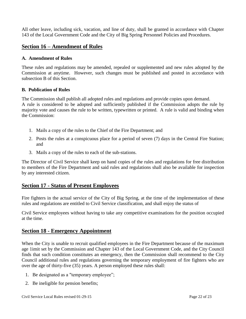All other leave, including sick, vacation, and line of duty, shall be granted in accordance with Chapter 143 of the Local Government Code and the City of Big Spring Personnel Policies and Procedures.

# **Section 16 – Amendment of Rules**

#### **A. Amendment of Rules**

These rules and regulations may be amended, repealed or supplemented and new rules adopted by the Commission at anytime. However, such changes must be published and posted in accordance with subsection B of this Section.

#### **B. Publication of Rules**

The Commission shall publish all adopted rules and regulations and provide copies upon demand. A rule is considered to be adopted and sufficiently published if the Commission adopts the rule by majority vote and causes the rule to be written, typewritten or printed. A rule is valid and binding when the Commission:

- 1. Mails a copy of the rules to the Chief of the Fire Department; and
- 2. Posts the rules at a conspicuous place for a period of seven (7) days in the Central Fire Station; and
- 3. Mails a copy of the rules to each of the sub-stations.

The Director of Civil Service shall keep on hand copies of the rules and regulations for free distribution to members of the Fire Department and said rules and regulations shall also be available for inspection by any interested citizen.

# **Section 17 - Status of Present Employees**

Fire fighters in the actual service of the City of Big Spring, at the time of the implementation of these rules and regulations are entitled to Civil Service classification, and shall enjoy the status of

Civil Service employees without having to take any competitive examinations for the position occupied at the time.

# **Section 18 - Emergency Appointment**

When the City is unable to recruit qualified employees in the Fire Department because of the maximum age 1imit set by the Commission and Chapter 143 of the Local Government Code, and the City Council finds that such condition constitutes an emergency, then the Commission shall recommend to the City Council additional rules and regulations governing the temporary employment of fire fighters who are over the age of thirty-five (35) years. A person employed these rules shall:

- 1. Be designated as a "temporary employee";
- 2. Be ineligible for pension benefits;